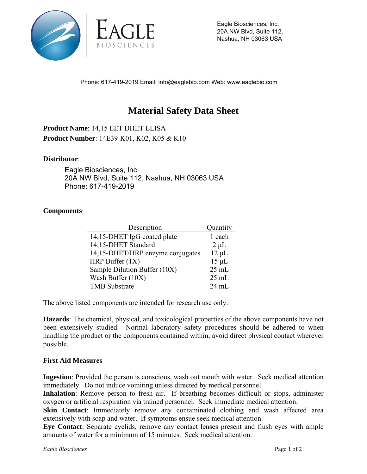

Eagle Biosciences, Inc. 20A NW Blvd, Suite 112, Nashua, NH 03063 USA

Phone: 617-419-2019 Email: info@eaglebio.com Web: www.eaglebio.com

## **Material Safety Data Sheet**

**Product Name**: 14,15 EET DHET ELISA **Product Number**: 14E39-K01, K02, K05 & K10

## **Distributor**:

Eagle Biosciences, Inc. 20A NW Blvd, Suite 112, Nashua, NH 03063 USA Phone: 617-419-2019

## **Components**:

| Description                      | Quantity        |
|----------------------------------|-----------------|
| 14,15-DHET IgG coated plate      | 1 each          |
| 14,15-DHET Standard              | $2 \mu L$       |
| 14,15-DHET/HRP enzyme conjugates | $12 \mu L$      |
| HRP Buffer $(1X)$                | $15 \mu L$      |
| Sample Dilution Buffer (10X)     | $25$ mL         |
| Wash Buffer (10X)                | $25 \text{ mL}$ |
| <b>TMB</b> Substrate             | $24 \text{ mL}$ |

The above listed components are intended for research use only.

**Hazards**: The chemical, physical, and toxicological properties of the above components have not been extensively studied. Normal laboratory safety procedures should be adhered to when handling the product or the components contained within, avoid direct physical contact wherever possible.

## **First Aid Measures**

**Ingestion**: Provided the person is conscious, wash out mouth with water. Seek medical attention immediately. Do not induce vomiting unless directed by medical personnel.

**Inhalation**: Remove person to fresh air. If breathing becomes difficult or stops, administer oxygen or artificial respiration via trained personnel. Seek immediate medical attention.

**Skin Contact:** Immediately remove any contaminated clothing and wash affected area extensively with soap and water. If symptoms ensue seek medical attention.

**Eye Contact**: Separate eyelids, remove any contact lenses present and flush eyes with ample amounts of water for a minimum of 15 minutes. Seek medical attention.

*Eagle Biosciences* Page 1 of 2